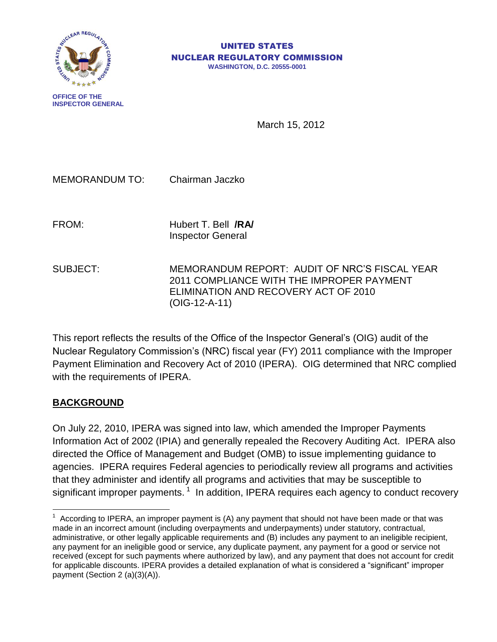

#### UNITED STATES NUCLEAR REGULATORY COMMISSION **WASHINGTON, D.C. 20555-0001**

**OFFICE OF THE INSPECTOR GENERAL**

March 15, 2012

MEMORANDUM TO: Chairman Jaczko

FROM: Hubert T. Bell **/RA/** Inspector General

SUBJECT: MEMORANDUM REPORT: AUDIT OF NRC'S FISCAL YEAR 2011 COMPLIANCE WITH THE IMPROPER PAYMENT ELIMINATION AND RECOVERY ACT OF 2010 (OIG-12-A-11)

This report reflects the results of the Office of the Inspector General's (OIG) audit of the Nuclear Regulatory Commission's (NRC) fiscal year (FY) 2011 compliance with the Improper Payment Elimination and Recovery Act of 2010 (IPERA). OIG determined that NRC complied with the requirements of IPERA.

#### **BACKGROUND**

 $\overline{a}$ 

On July 22, 2010, IPERA was signed into law, which amended the Improper Payments Information Act of 2002 (IPIA) and generally repealed the Recovery Auditing Act. IPERA also directed the Office of Management and Budget (OMB) to issue implementing guidance to agencies. IPERA requires Federal agencies to periodically review all programs and activities that they administer and identify all programs and activities that may be susceptible to significant improper payments.<sup>1</sup> In addition, IPERA requires each agency to conduct recovery

<sup>1</sup> According to IPERA, an improper payment is (A) any payment that should not have been made or that was made in an incorrect amount (including overpayments and underpayments) under statutory, contractual, administrative, or other legally applicable requirements and (B) includes any payment to an ineligible recipient, any payment for an ineligible good or service, any duplicate payment, any payment for a good or service not received (except for such payments where authorized by law), and any payment that does not account for credit for applicable discounts. IPERA provides a detailed explanation of what is considered a "significant" improper payment (Section 2 (a)(3)(A)).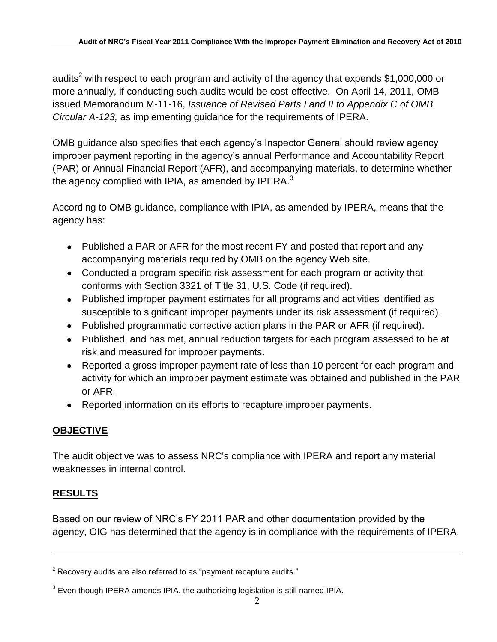audits<sup>2</sup> with respect to each program and activity of the agency that expends \$1,000,000 or more annually, if conducting such audits would be cost-effective. On April 14, 2011, OMB issued Memorandum M-11-16, *Issuance of Revised Parts I and II to Appendix C of OMB Circular A-123,* as implementing guidance for the requirements of IPERA.

OMB guidance also specifies that each agency's Inspector General should review agency improper payment reporting in the agency's annual Performance and Accountability Report (PAR) or Annual Financial Report (AFR), and accompanying materials, to determine whether the agency complied with IPIA, as amended by IPERA. $^3$ 

According to OMB guidance, compliance with IPIA, as amended by IPERA, means that the agency has:

- Published a PAR or AFR for the most recent FY and posted that report and any accompanying materials required by OMB on the agency Web site.
- Conducted a program specific risk assessment for each program or activity that conforms with Section 3321 of Title 31, U.S. Code (if required).
- Published improper payment estimates for all programs and activities identified as susceptible to significant improper payments under its risk assessment (if required).
- Published programmatic corrective action plans in the PAR or AFR (if required).
- Published, and has met, annual reduction targets for each program assessed to be at risk and measured for improper payments.
- Reported a gross improper payment rate of less than 10 percent for each program and activity for which an improper payment estimate was obtained and published in the PAR or AFR.
- Reported information on its efforts to recapture improper payments.

# **OBJECTIVE**

The audit objective was to assess NRC's compliance with IPERA and report any material weaknesses in internal control.

# **RESULTS**

 $\overline{a}$ 

Based on our review of NRC's FY 2011 PAR and other documentation provided by the agency, OIG has determined that the agency is in compliance with the requirements of IPERA.

 $2$  Recovery audits are also referred to as "payment recapture audits."

 $3$  Even though IPERA amends IPIA, the authorizing legislation is still named IPIA.